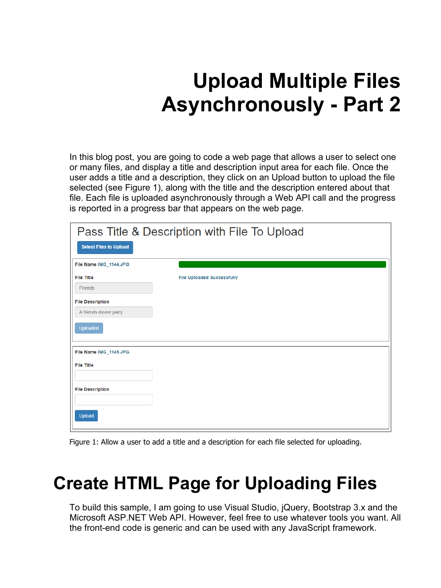# **Upload Multiple Files Asynchronously - Part 2**

In this blog post, you are going to code a web page that allows a user to select one or many files, and display a title and description input area for each file. Once the user adds a title and a description, they click on an Upload button to upload the file selected (see Figure 1), along with the title and the description entered about that file. Each file is uploaded asynchronously through a Web API call and the progress is reported in a progress bar that appears on the web page.

|                               | Pass Title & Description with File To Upload |  |
|-------------------------------|----------------------------------------------|--|
| <b>Select Files to Upload</b> |                                              |  |
| File Name IMG 1144.JPG        |                                              |  |
| <b>File Title</b>             | <b>File Uploaded Successfully</b>            |  |
| Friends                       |                                              |  |
| <b>File Description</b>       |                                              |  |
| A friends dinner party        |                                              |  |
| <b>Uploaded</b>               |                                              |  |
| File Name IMG 1145.JPG        |                                              |  |
| <b>File Title</b>             |                                              |  |
|                               |                                              |  |
| <b>File Description</b>       |                                              |  |
|                               |                                              |  |
| Upload                        |                                              |  |

Figure 1: Allow a user to add a title and a description for each file selected for uploading.

## **Create HTML Page for Uploading Files**

To build this sample, I am going to use Visual Studio, jQuery, Bootstrap 3.x and the Microsoft ASP.NET Web API. However, feel free to use whatever tools you want. All the front-end code is generic and can be used with any JavaScript framework.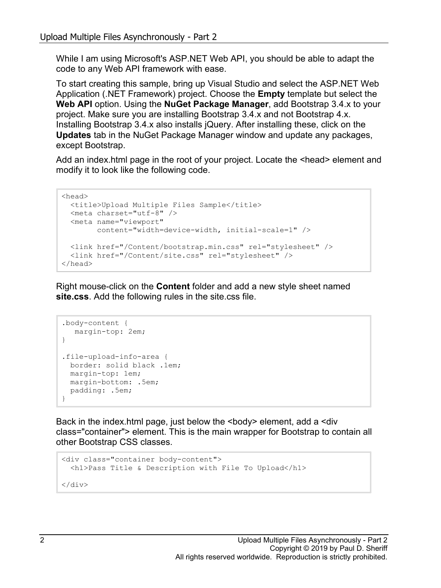While I am using Microsoft's ASP.NET Web API, you should be able to adapt the code to any Web API framework with ease.

To start creating this sample, bring up Visual Studio and select the ASP.NET Web Application (.NET Framework) project. Choose the **Empty** template but select the **Web API** option. Using the **NuGet Package Manager**, add Bootstrap 3.4.x to your project. Make sure you are installing Bootstrap 3.4.x and not Bootstrap 4.x. Installing Bootstrap 3.4.x also installs jQuery. After installing these, click on the **Updates** tab in the NuGet Package Manager window and update any packages, except Bootstrap.

Add an index.html page in the root of your project. Locate the <head> element and modify it to look like the following code.

```
<head>
  <title>Upload Multiple Files Sample</title>
   <meta charset="utf-8" />
   <meta name="viewport"
         content="width=device-width, initial-scale=1" />
   <link href="/Content/bootstrap.min.css" rel="stylesheet" />
   <link href="/Content/site.css" rel="stylesheet" />
</head>
```
Right mouse-click on the **Content** folder and add a new style sheet named **site.css**. Add the following rules in the site.css file.

```
.body-content {
   margin-top: 2em;
}
.file-upload-info-area {
  border: solid black .1em;
  margin-top: 1em;
  margin-bottom: .5em;
  padding: .5em;
}
```
Back in the index.html page, just below the <br/>body> element, add a <div class="container"> element. This is the main wrapper for Bootstrap to contain all other Bootstrap CSS classes.

```
<div class="container body-content">
  <h1>Pass Title & Description with File To Upload</h1>
</div>
```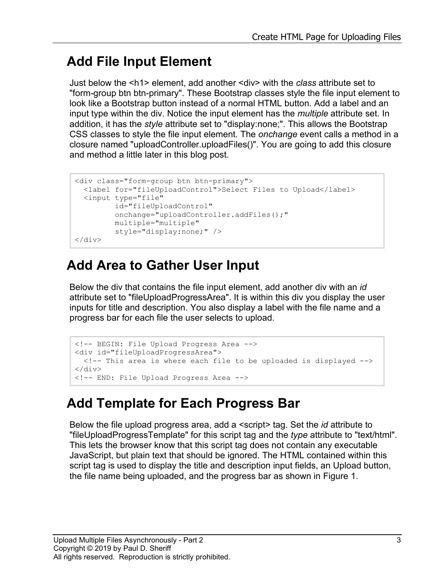#### **Add File Input Element**

Just below the <h1> element, add another <div> with the *class* attribute set to "form-group btn btn-primary". These Bootstrap classes style the file input element to look like a Bootstrap button instead of a normal HTML button. Add a label and an input type within the div. Notice the input element has the *multiple* attribute set. In addition, it has the *style* attribute set to "display:none;". This allows the Bootstrap CSS classes to style the file input element. The *onchange* event calls a method in a closure named "uploadController.uploadFiles()". You are going to add this closure and method a little later in this blog post.

```
<div class="form-group btn btn-primary">
  <label for="fileUploadControl">Select Files to Upload</label>
   <input type="file" 
          id="fileUploadControl" 
          onchange="uploadController.addFiles();"
          multiple="multiple" 
          style="display:none;" />
\langlediv\rangle
```
#### **Add Area to Gather User Input**

Below the div that contains the file input element, add another div with an *id* attribute set to "fileUploadProgressArea". It is within this div you display the user inputs for title and description. You also display a label with the file name and a progress bar for each file the user selects to upload.

```
<!-- BEGIN: File Upload Progress Area -->
<div id="fileUploadProgressArea">
  \langle -- This area is where each file to be uploaded is displayed \rightarrow\langle /div\rangle<!-- END: File Upload Progress Area -->
```
#### **Add Template for Each Progress Bar**

Below the file upload progress area, add a <script> tag. Set the *id* attribute to "fileUploadProgressTemplate" for this script tag and the *type* attribute to "text/html". This lets the browser know that this script tag does not contain any executable JavaScript, but plain text that should be ignored. The HTML contained within this script tag is used to display the title and description input fields, an Upload button, the file name being uploaded, and the progress bar as shown in Figure 1.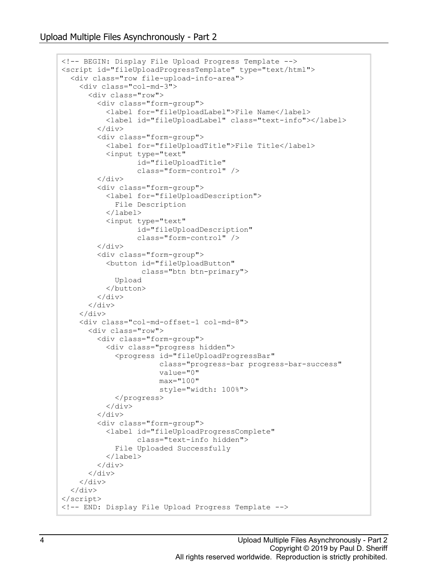```
<!-- BEGIN: Display File Upload Progress Template -->
<script id="fileUploadProgressTemplate" type="text/html">
   <div class="row file-upload-info-area">
     <div class="col-md-3">
       <div class="row">
         <div class="form-group">
            <label for="fileUploadLabel">File Name</label>
            <label id="fileUploadLabel" class="text-info"></label>
        \langle div\rangle <div class="form-group">
            <label for="fileUploadTitle">File Title</label>
            <input type="text" 
                    id="fileUploadTitle" 
                   class="form-control" />
        \langle div>
         <div class="form-group">
            <label for="fileUploadDescription">
              File Description
            </label>
            <input type="text" 
                   id="fileUploadDescription" 
                   class="form-control" />
        \langle div\rangle <div class="form-group">
            <button id="fileUploadButton" 
                     class="btn btn-primary">
              Upload
            </button>
        \langle/div>
       </div>
    \langle div>
     <div class="col-md-offset-1 col-md-8">
       <div class="row">
          <div class="form-group">
            <div class="progress hidden">
              <progress id="fileUploadProgressBar" 
                         class="progress-bar progress-bar-success"
                         value="0"
                        max="100"
                        style="width: 100%">
              </progress>
            </div>
        \langle/div\rangle <div class="form-group">
            <label id="fileUploadProgressComplete"
                   class="text-info hidden">
              File Uploaded Successfully
            </label>
         </div>
       </div>
    \langle div>
  \langle/div\rangle</script>
<!-- END: Display File Upload Progress Template -->
```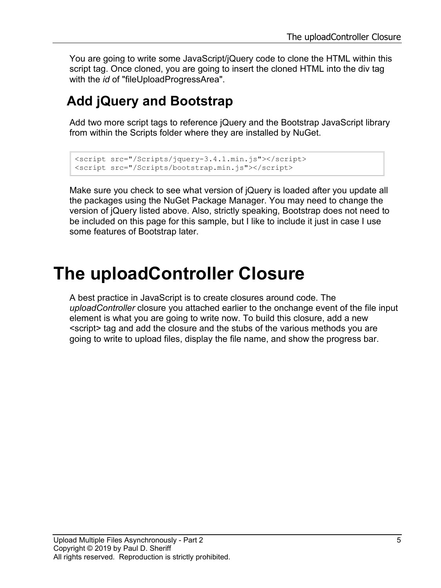You are going to write some JavaScript/jQuery code to clone the HTML within this script tag. Once cloned, you are going to insert the cloned HTML into the div tag with the *id* of "fileUploadProgressArea".

#### **Add jQuery and Bootstrap**

Add two more script tags to reference jQuery and the Bootstrap JavaScript library from within the Scripts folder where they are installed by NuGet.

```
<script src="/Scripts/jquery-3.4.1.min.js"></script>
<script src="/Scripts/bootstrap.min.js"></script>
```
Make sure you check to see what version of jQuery is loaded after you update all the packages using the NuGet Package Manager. You may need to change the version of jQuery listed above. Also, strictly speaking, Bootstrap does not need to be included on this page for this sample, but I like to include it just in case I use some features of Bootstrap later.

## **The uploadController Closure**

A best practice in JavaScript is to create closures around code. The *uploadController* closure you attached earlier to the onchange event of the file input element is what you are going to write now. To build this closure, add a new <script> tag and add the closure and the stubs of the various methods you are going to write to upload files, display the file name, and show the progress bar.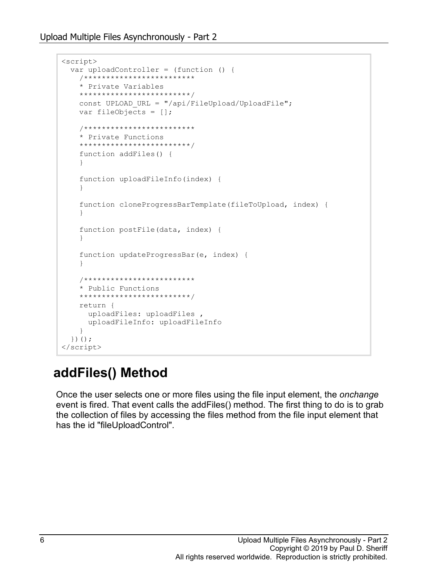```
<script>
   var uploadController = (function () {
     /*************************
     * Private Variables
     *************************/
    const UPLOAD URL = \prime/api/FileUpload/UploadFile";
     var fileObjects = [];
     /*************************
     * Private Functions
     *************************/
     function addFiles() {
     }
     function uploadFileInfo(index) {
 }
     function cloneProgressBarTemplate(fileToUpload, index) {
 }
     function postFile(data, index) {
     }
     function updateProgressBar(e, index) {
     }
     /*************************
     * Public Functions
     *************************/
     return {
      uploadFiles: uploadFiles ,
      uploadFileInfo: uploadFileInfo
     }
   })();
</script>
```
#### **addFiles() Method**

Once the user selects one or more files using the file input element, the *onchange* event is fired. That event calls the addFiles() method. The first thing to do is to grab the collection of files by accessing the files method from the file input element that has the id "fileUploadControl".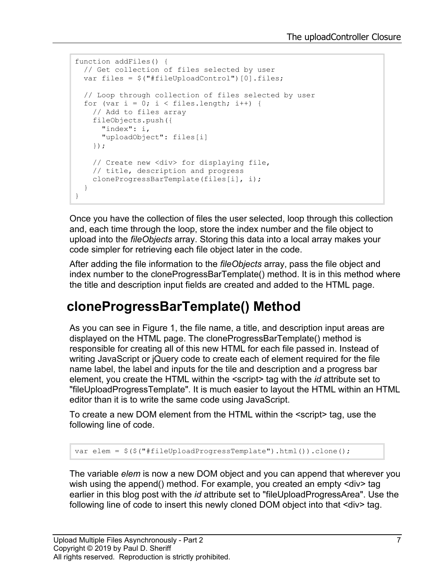```
function addFiles() {
  // Get collection of files selected by user
 var files = $("#fileUpdateController"] [0].files; // Loop through collection of files selected by user
  for (var i = 0; i < files.length; i++) {
    // Add to files array
     fileObjects.push({
       "index": i,
       "uploadObject": files[i]
     });
     // Create new <div> for displaying file, 
     // title, description and progress
    cloneProgressBarTemplate(files[i], i);
   }
}
```
Once you have the collection of files the user selected, loop through this collection and, each time through the loop, store the index number and the file object to upload into the *fileObjects* array. Storing this data into a local array makes your code simpler for retrieving each file object later in the code.

After adding the file information to the *fileObjects* array, pass the file object and index number to the cloneProgressBarTemplate() method. It is in this method where the title and description input fields are created and added to the HTML page.

#### **cloneProgressBarTemplate() Method**

As you can see in Figure 1, the file name, a title, and description input areas are displayed on the HTML page. The cloneProgressBarTemplate() method is responsible for creating all of this new HTML for each file passed in. Instead of writing JavaScript or jQuery code to create each of element required for the file name label, the label and inputs for the tile and description and a progress bar element, you create the HTML within the <script> tag with the *id* attribute set to "fileUploadProgressTemplate". It is much easier to layout the HTML within an HTML editor than it is to write the same code using JavaScript.

To create a new DOM element from the HTML within the <script> tag, use the following line of code.

var elem = \$(\$("#fileUploadProgressTemplate").html()).clone();

The variable *elem* is now a new DOM object and you can append that wherever you wish using the append() method. For example, you created an empty <div> tag earlier in this blog post with the *id* attribute set to "fileUploadProgressArea". Use the following line of code to insert this newly cloned DOM object into that <div> tag.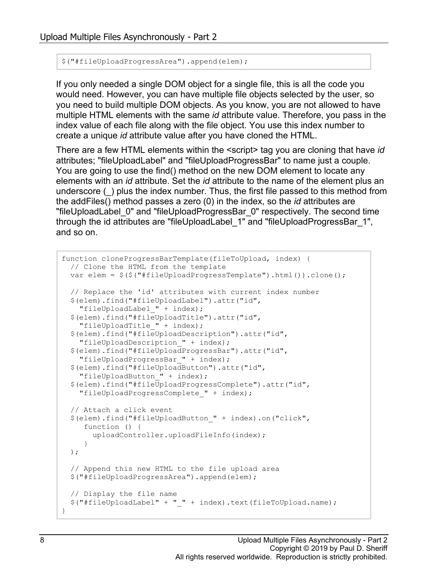```
$("#fileUploadProgressArea").append(elem);
```
If you only needed a single DOM object for a single file, this is all the code you would need. However, you can have multiple file objects selected by the user, so you need to build multiple DOM objects. As you know, you are not allowed to have multiple HTML elements with the same *id* attribute value. Therefore, you pass in the index value of each file along with the file object. You use this index number to create a unique *id* attribute value after you have cloned the HTML.

There are a few HTML elements within the <script> tag you are cloning that have *id* attributes; "fileUploadLabel" and "fileUploadProgressBar" to name just a couple. You are going to use the find() method on the new DOM element to locate any elements with an *id* attribute. Set the *id* attribute to the name of the element plus an underscore (\_) plus the index number. Thus, the first file passed to this method from the addFiles() method passes a zero (0) in the index, so the *id* attributes are "fileUploadLabel\_0" and "fileUploadProgressBar\_0" respectively. The second time through the id attributes are "fileUploadLabel\_1" and "fileUploadProgressBar\_1", and so on.

```
function cloneProgressBarTemplate(fileToUpload, index) {
  // Clone the HTML from the template
 var elem = $(\$("#fileUpdateTogressTemplate"),html()).clone();
  // Replace the 'id' attributes with current index number
   $(elem).find("#fileUploadLabel").attr("id",
    "fileUploadLabel_" + index);
   $(elem).find("#fileUploadTitle").attr("id",
     "fileUploadTitle_" + index);
  $(elem).find("#fileUploadDescription").attr("id",
     "fileUploadDescription_" + index);
   $(elem).find("#fileUploadProgressBar").attr("id",
     "fileUploadProgressBar_" + index);
   $(elem).find("#fileUploadButton").attr("id",
     "fileUploadButton_" + index);
   $(elem).find("#fileUploadProgressComplete").attr("id",
     "fileUploadProgressComplete_" + index);
  // Attach a click event
   $(elem).find("#fileUploadButton_" + index).on("click", 
      function () {
        uploadController.uploadFileInfo(index);
      }
  );
  // Append this new HTML to the file upload area
   $("#fileUploadProgressArea").append(elem);
  // Display the file name
  $("#fileUploadLabel" + "_" + index).text(fileToUpload.name);
}
```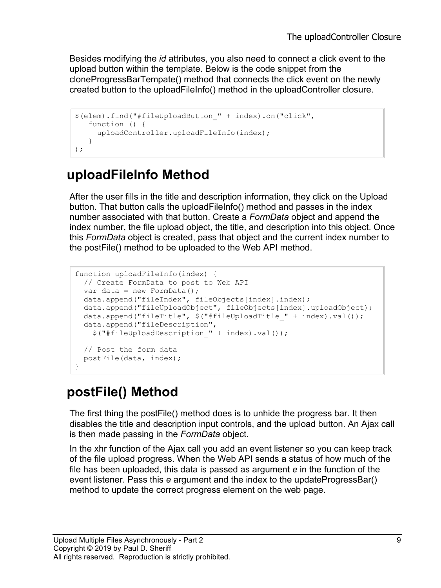Besides modifying the *id* attributes, you also need to connect a click event to the upload button within the template. Below is the code snippet from the cloneProgressBarTempate() method that connects the click event on the newly created button to the uploadFileInfo() method in the uploadController closure.

```
$(elem).find("#fileUploadButton_" + index).on("click", 
    function () {
     uploadController.uploadFileInfo(index);
    }
);
```
#### **uploadFileInfo Method**

After the user fills in the title and description information, they click on the Upload button. That button calls the uploadFileInfo() method and passes in the index number associated with that button. Create a *FormData* object and append the index number, the file upload object, the title, and description into this object. Once this *FormData* object is created, pass that object and the current index number to the postFile() method to be uploaded to the Web API method.

```
function uploadFileInfo(index) {
  // Create FormData to post to Web API
 var data = new FormData();
  data.append("fileIndex", fileObjects[index].index);
  data.append("fileUploadObject", fileObjects[index].uploadObject);
 data.append("fileTitle", $("#fileUploadTitle " + index).val());
  data.append("fileDescription",
     $("#fileUploadDescription_" + index).val());
  // Post the form data
  postFile(data, index);
}
```
#### **postFile() Method**

The first thing the postFile() method does is to unhide the progress bar. It then disables the title and description input controls, and the upload button. An Ajax call is then made passing in the *FormData* object.

In the xhr function of the Ajax call you add an event listener so you can keep track of the file upload progress. When the Web API sends a status of how much of the file has been uploaded, this data is passed as argument *e* in the function of the event listener. Pass this *e* argument and the index to the updateProgressBar() method to update the correct progress element on the web page.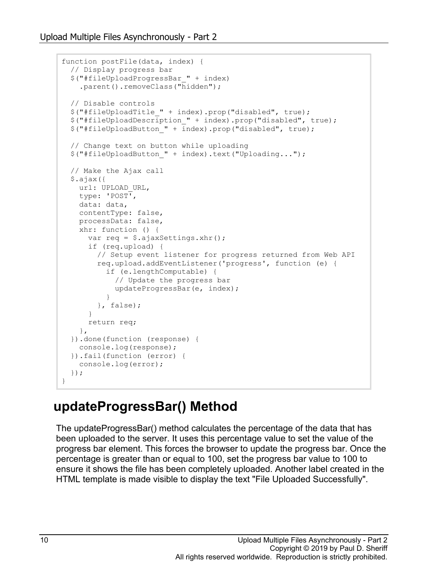```
function postFile(data, index) {
  // Display progress bar
  $("#fileUploadProgressBar_" + index)
    .parent().removeClass("hidden");
  // Disable controls
  $("#fileUploadTitle_" + index).prop("disabled", true);
   $("#fileUploadDescription_" + index).prop("disabled", true);
 $("#fileUploadButton " + index).prop("disableed", true); // Change text on button while uploading
  $("#fileUploadButton_" + index).text("Uploading...");
  // Make the Ajax call
  $.ajax({
   url: UPLOAD URL,
    type: 'POST',
    data: data,
    contentType: false,
    processData: false,
    xhr: function () {
      var req = $.ajaxSettings.xhr();
      if (req.upload) {
        // Setup event listener for progress returned from Web API
        req.upload.addEventListener('progress', function (e) {
          if (e.lengthComputable) {
             // Update the progress bar
          updateProgressBar(e, index);
 }
        }, false);
       }
      return req;
    },
  }).done(function (response) {
    console.log(response);
  }).fail(function (error) {
    console.log(error);
  });
}
```
#### **updateProgressBar() Method**

The updateProgressBar() method calculates the percentage of the data that has been uploaded to the server. It uses this percentage value to set the value of the progress bar element. This forces the browser to update the progress bar. Once the percentage is greater than or equal to 100, set the progress bar value to 100 to ensure it shows the file has been completely uploaded. Another label created in the HTML template is made visible to display the text "File Uploaded Successfully".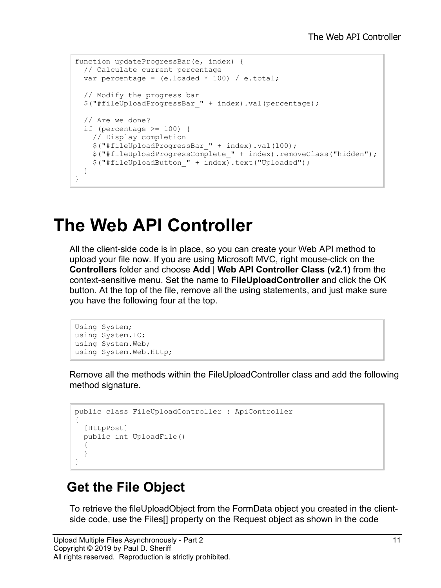```
function updateProgressBar(e, index) {
  // Calculate current percentage
 var percentage = (e.\text{loaded } * 100) / e.\text{total};
   // Modify the progress bar
   $("#fileUploadProgressBar_" + index).val(percentage);
   // Are we done?
   if (percentage >= 100) {
     // Display completion
     $("#fileUploadProgressBar_" + index).val(100);
     $("#fileUploadProgressComplete_" + index).removeClass("hidden");
     $("#fileUploadButton_" + index).text("Uploaded");
   }
}
```
### **The Web API Controller**

All the client-side code is in place, so you can create your Web API method to upload your file now. If you are using Microsoft MVC, right mouse-click on the **Controllers** folder and choose **Add** | **Web API Controller Class (v2.1)** from the context-sensitive menu. Set the name to **FileUploadController** and click the OK button. At the top of the file, remove all the using statements, and just make sure you have the following four at the top.

```
Using System;
using System.IO;
using System.Web;
using System.Web.Http;
```
Remove all the methods within the FileUploadController class and add the following method signature.

```
public class FileUploadController : ApiController
{
   [HttpPost]
  public int UploadFile()
   {
   }
}
```
#### **Get the File Object**

To retrieve the fileUploadObject from the FormData object you created in the clientside code, use the Files[] property on the Request object as shown in the code

```
Upload Multiple Files Asynchronously - Part 2 11 11 12
Copyright © 2019 by Paul D. Sheriff
All rights reserved. Reproduction is strictly prohibited.
```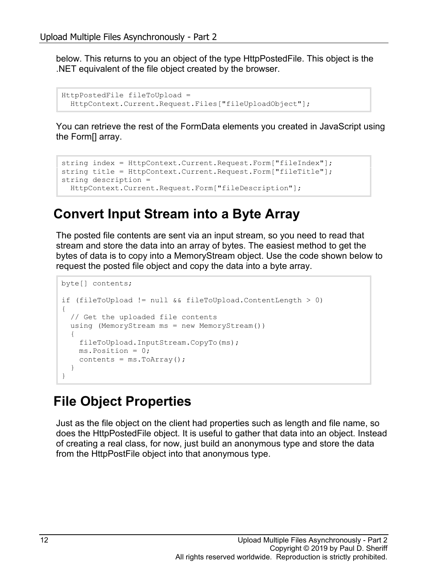below. This returns to you an object of the type HttpPostedFile. This object is the .NET equivalent of the file object created by the browser.

```
HttpPostedFile fileToUpload = 
   HttpContext.Current.Request.Files["fileUploadObject"];
```
You can retrieve the rest of the FormData elements you created in JavaScript using the Form[] array.

```
string index = HttpContext.Current.Request.Form["fileIndex"];
string title = HttpContext.Current.Request.Form["fileTitle"];
string description = 
  HttpContext.Current.Request.Form["fileDescription"];
```
#### **Convert Input Stream into a Byte Array**

The posted file contents are sent via an input stream, so you need to read that stream and store the data into an array of bytes. The easiest method to get the bytes of data is to copy into a MemoryStream object. Use the code shown below to request the posted file object and copy the data into a byte array.

```
byte[] contents;
if (fileToUpload != null && fileToUpload.ContentLength > 0)
{
   // Get the uploaded file contents
   using (MemoryStream ms = new MemoryStream())
\{ fileToUpload.InputStream.CopyTo(ms);
    ms.Position = 0;
    contents = ms.ToArray();
   }
}
```
#### **File Object Properties**

Just as the file object on the client had properties such as length and file name, so does the HttpPostedFile object. It is useful to gather that data into an object. Instead of creating a real class, for now, just build an anonymous type and store the data from the HttpPostFile object into that anonymous type.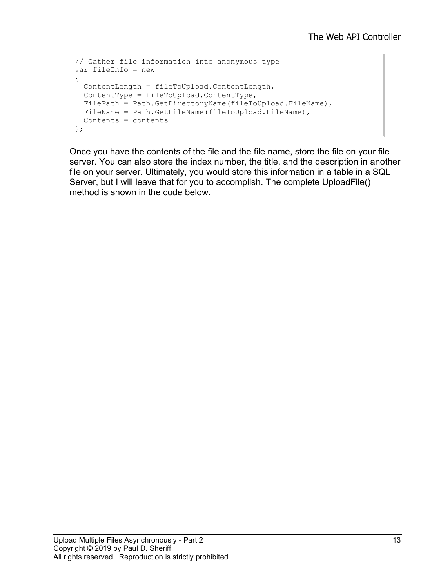```
// Gather file information into anonymous type
var fileInfo = new
{
  ContentLength = fileToUpload.ContentLength,
  ContentType = fileToUpload.ContentType,
 FilePath = Path.GetDirectoryName(fileToUpload.FileName),
 FileName = Path.GetFileName(fileToUpload.FileName),
  Contents = contents
};
```
Once you have the contents of the file and the file name, store the file on your file server. You can also store the index number, the title, and the description in another file on your server. Ultimately, you would store this information in a table in a SQL Server, but I will leave that for you to accomplish. The complete UploadFile() method is shown in the code below.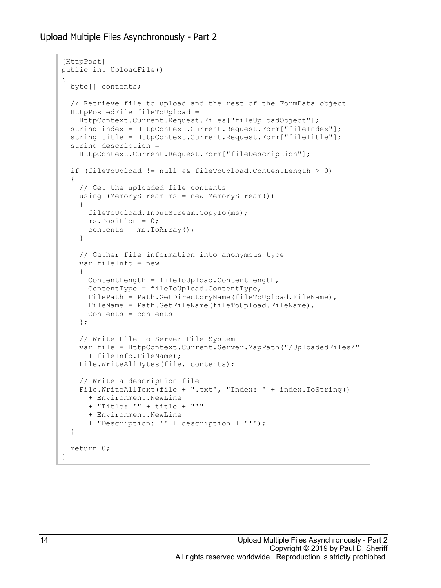```
[HttpPost]
public int UploadFile()
{
  byte[] contents;
   // Retrieve file to upload and the rest of the FormData object
   HttpPostedFile fileToUpload =
    HttpContext.Current.Request.Files["fileUploadObject"];
   string index = HttpContext.Current.Request.Form["fileIndex"];
   string title = HttpContext.Current.Request.Form["fileTitle"];
   string description =
     HttpContext.Current.Request.Form["fileDescription"];
   if (fileToUpload != null && fileToUpload.ContentLength > 0)
\{ // Get the uploaded file contents
     using (MemoryStream ms = new MemoryStream())
\left\{\begin{array}{ccc} \end{array}\right\} fileToUpload.InputStream.CopyTo(ms);
      ms.Position = 0;
      contents = ms.ToArray();
     }
     // Gather file information into anonymous type
     var fileInfo = new
     {
       ContentLength = fileToUpload.ContentLength,
       ContentType = fileToUpload.ContentType,
      FilePath = Path.GetDirectoryName(fileToUpload.FileName),
      FileName = Path.GetFileName(fileToUpload.FileName),
       Contents = contents
     };
     // Write File to Server File System
     var file = HttpContext.Current.Server.MapPath("/UploadedFiles/"
       + fileInfo.FileName);
     File.WriteAllBytes(file, contents);
     // Write a description file
    File.WriteAllText(file + ".txt", "Index: " + index.ToString()
       + Environment.NewLine 
       + "Title: '" + title + "'" 
       + Environment.NewLine 
       + "Description: '" + description + "'");
   }
  return 0;
}
```